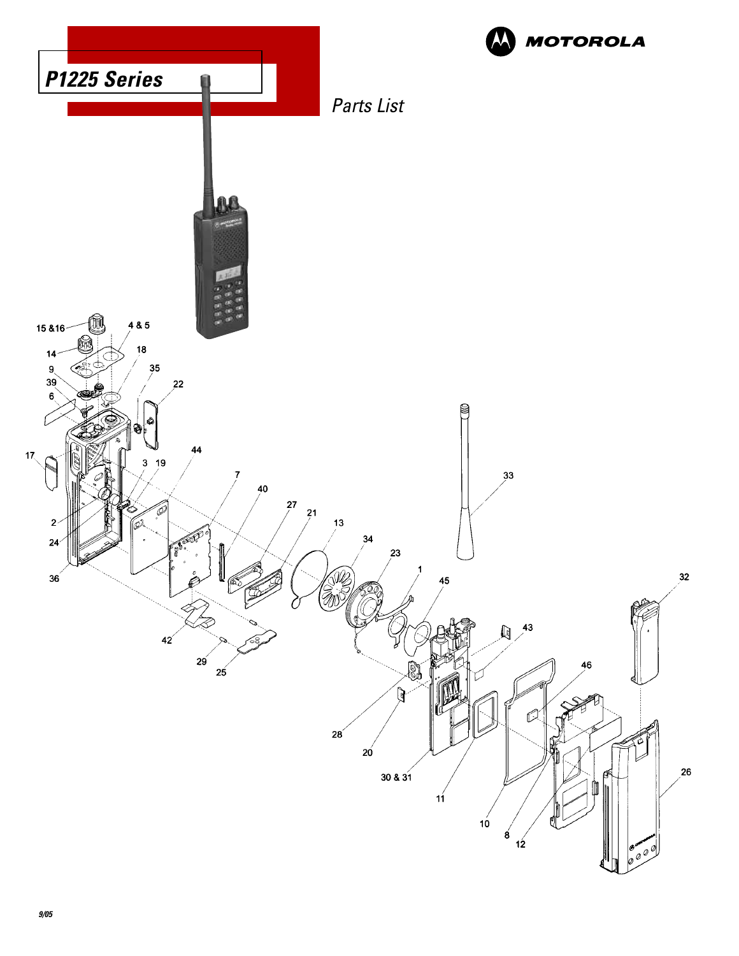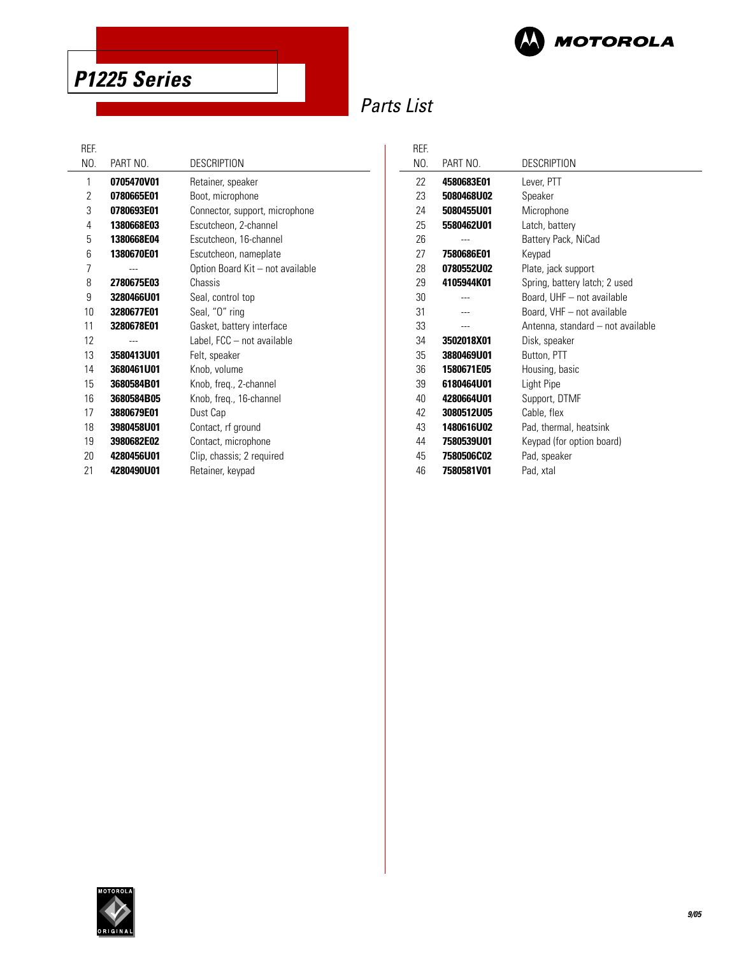

**P1225 Series** 

## Parts List

REF.

| NEF. |            |                                  |
|------|------------|----------------------------------|
| NO.  | PART NO.   | <b>DESCRIPTION</b>               |
| 1    | 0705470V01 | Retainer, speaker                |
| 2    | 0780665E01 | Boot, microphone                 |
| 3    | 0780693E01 | Connector, support, microphone   |
| 4    | 1380668E03 | Escutcheon, 2-channel            |
| 5    | 1380668E04 | Escutcheon, 16-channel           |
| 6    | 1380670E01 | Escutcheon, nameplate            |
| 7    |            | Option Board Kit - not available |
| 8    | 2780675E03 | Chassis                          |
| 9    | 3280466U01 | Seal, control top                |
| 10   | 3280677E01 | Seal, "O" ring                   |
| 11   | 3280678E01 | Gasket, battery interface        |
| 12   |            | Label, FCC - not available       |
| 13   | 3580413U01 | Felt, speaker                    |
| 14   | 3680461U01 | Knob, volume                     |
| 15   | 3680584B01 | Knob, freq., 2-channel           |
| 16   | 3680584B05 | Knob, freq., 16-channel          |
| 17   | 3880679E01 | Dust Cap                         |
| 18   | 3980458U01 | Contact, rf ground               |
| 19   | 3980682E02 | Contact, microphone              |
| 20   | 4280456U01 | Clip, chassis; 2 required        |
| 21   | 4280490U01 | Retainer, keypad                 |
|      |            |                                  |

| REF. |            |                                   |  |
|------|------------|-----------------------------------|--|
| NO.  | PART NO.   | <b>DESCRIPTION</b>                |  |
| 22   | 4580683E01 | Lever, PTT                        |  |
| 23   | 5080468U02 | Speaker                           |  |
| 24   | 5080455U01 | Microphone                        |  |
| 25   | 5580462U01 | Latch, battery                    |  |
| 26   |            | Battery Pack, NiCad               |  |
| 27   | 7580686E01 | Keypad                            |  |
| 28   | 0780552U02 | Plate, jack support               |  |
| 29   | 4105944K01 | Spring, battery latch; 2 used     |  |
| 30   |            | Board, UHF - not available        |  |
| 31   |            | Board, VHF - not available        |  |
| 33   |            | Antenna, standard - not available |  |
| 34   | 3502018X01 | Disk, speaker                     |  |
| 35   | 3880469U01 | Button, PTT                       |  |
| 36   | 1580671E05 | Housing, basic                    |  |
| 39   | 6180464U01 | Light Pipe                        |  |
| 40   | 4280664U01 | Support, DTMF                     |  |
| 42   | 3080512U05 | Cable, flex                       |  |
| 43   | 1480616U02 | Pad, thermal, heatsink            |  |
| 44   | 7580539U01 | Keypad (for option board)         |  |
| 45   | 7580506C02 | Pad, speaker                      |  |
| 46   | 7580581V01 | Pad, xtal                         |  |

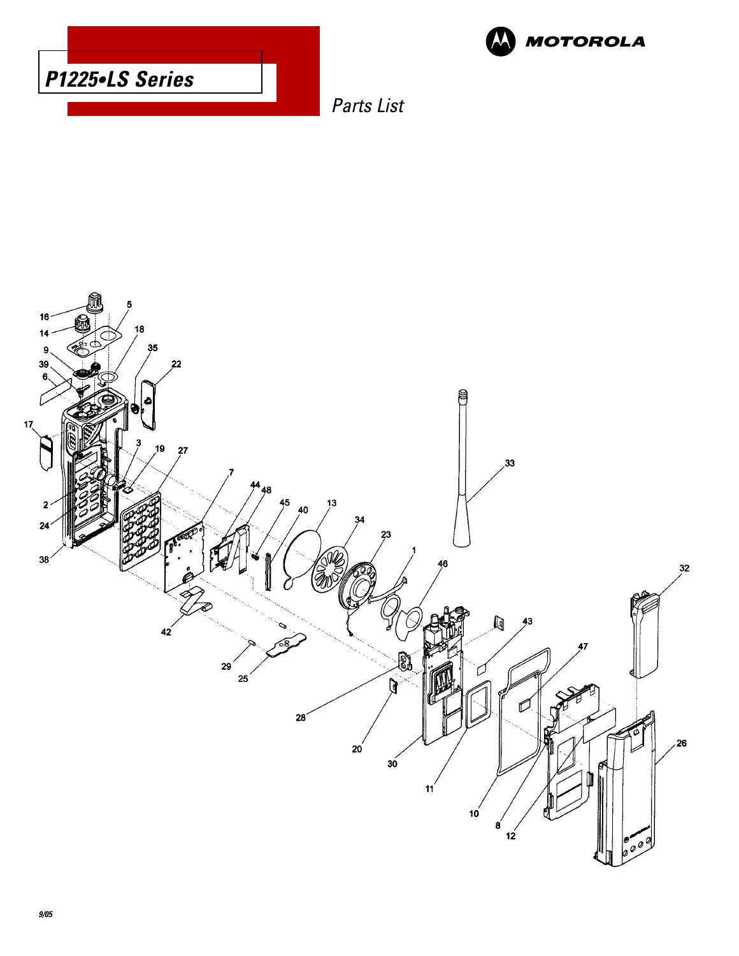



Parts List

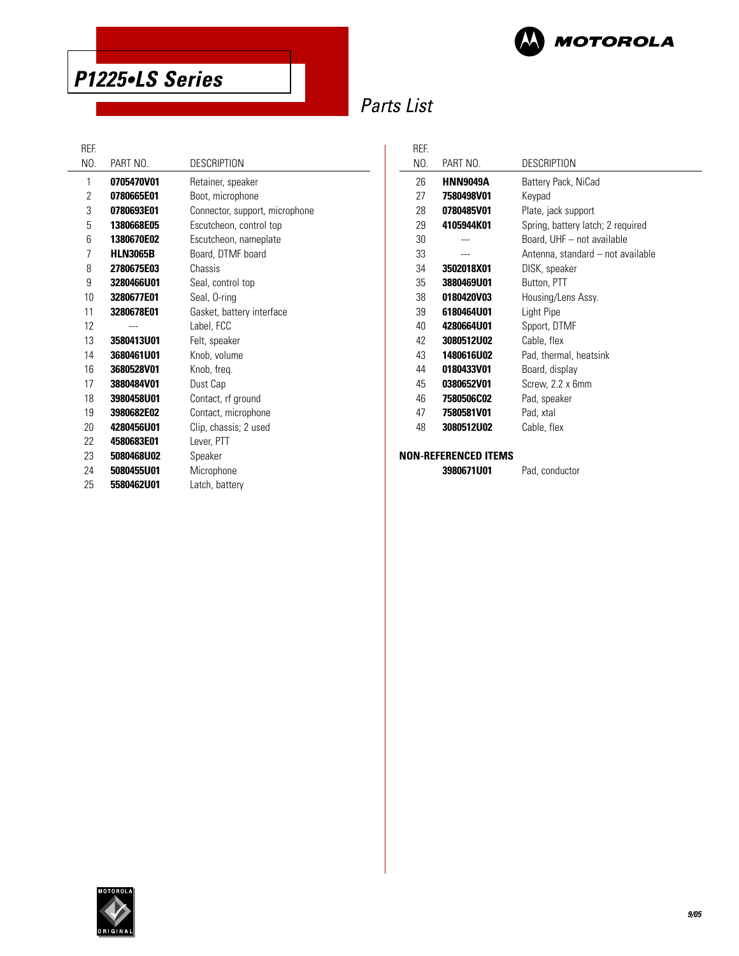



## Parts List

REF.

| NO. | PART NO.        | <b>DESCRIPTION</b>             |
|-----|-----------------|--------------------------------|
| 1   | 0705470V01      | Retainer, speaker              |
| 2   | 0780665E01      | Boot, microphone               |
| 3   | 0780693E01      | Connector, support, microphone |
| 5   | 1380668E05      | Escutcheon, control top        |
| 6   | 1380670E02      | Escutcheon, nameplate          |
| 7   | <b>HLN3065B</b> | Board, DTMF board              |
| 8   | 2780675E03      | Chassis                        |
| 9   | 3280466U01      | Seal, control top              |
| 10  | 3280677E01      | Seal, O-ring                   |
| 11  | 3280678E01      | Gasket, battery interface      |
| 12  |                 | Label, FCC                     |
| 13  | 3580413U01      | Felt, speaker                  |
| 14  | 3680461U01      | Knob, volume                   |
| 16  | 3680528V01      | Knob, freq.                    |
| 17  | 3880484V01      | Dust Cap                       |
| 18  | 3980458U01      | Contact, rf ground             |
| 19  | 3980682E02      | Contact, microphone            |
| 20  | 4280456U01      | Clip, chassis; 2 used          |
| 22  | 4580683E01      | Lever, PTT                     |
| 23  | 5080468U02      | Speaker                        |
| 24  | 5080455U01      | Microphone                     |
| 25  | 5580462U01      | Latch, battery                 |
|     |                 |                                |

| REF. |                 |                                   |
|------|-----------------|-----------------------------------|
| NO.  | PART NO.        | DESCRIPTION                       |
| 26   | <b>HNN9049A</b> | Battery Pack, NiCad               |
| 27   | 7580498V01      | Keypad                            |
| 28   | 0780485V01      | Plate, jack support               |
| 29   | 4105944K01      | Spring, battery latch; 2 required |
| 30   |                 | Board, UHF - not available        |
| 33   |                 | Antenna, standard - not available |
| 34   | 3502018X01      | DISK, speaker                     |
| 35   | 3880469U01      | Button, PTT                       |
| 38   | 0180420V03      | Housing/Lens Assy.                |
| 39   | 6180464U01      | Light Pipe                        |
| 40   | 4280664U01      | Spport, DTMF                      |
| 42   | 3080512U02      | Cable, flex                       |
| 43   | 1480616U02      | Pad, thermal, heatsink            |
| 44   | 0180433V01      | Board, display                    |
| 45   | 0380652V01      | Screw, 2.2 x 6mm                  |
| 46   | 7580506C02      | Pad, speaker                      |
| 47   | 7580581V01      | Pad, xtal                         |
| 48   | 3080512U02      | Cable, flex                       |
|      |                 |                                   |

**NON-REFERENCED ITEMS**

**3980671U01** Pad, conductor

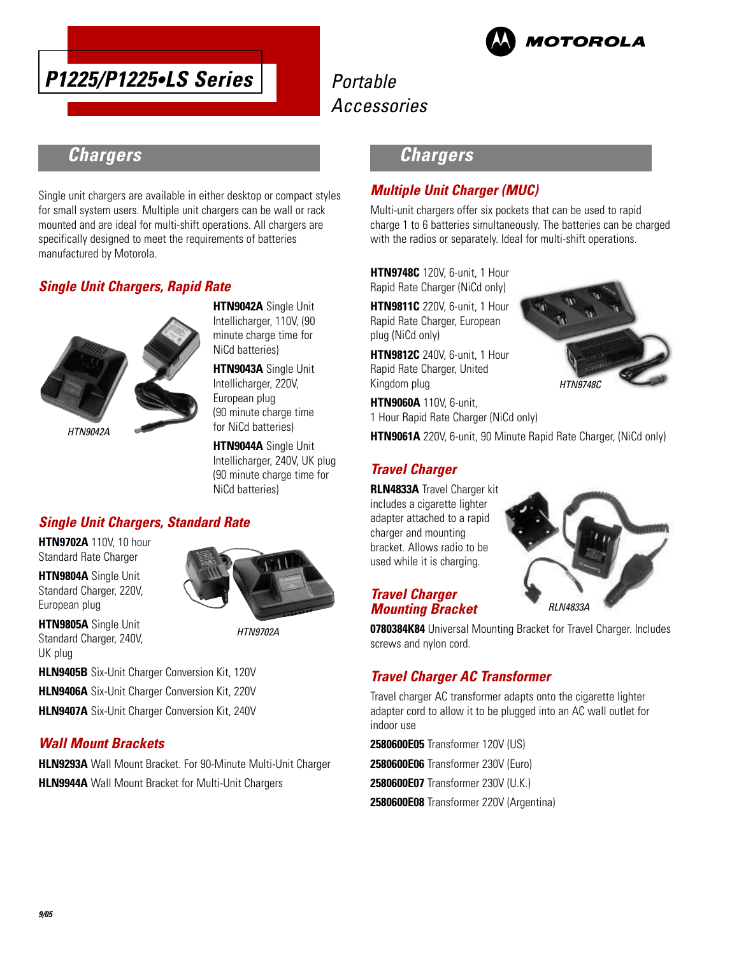



## **Chargers**

Single unit chargers are available in either desktop or compact styles for small system users. Multiple unit chargers can be wall or rack mounted and are ideal for multi-shift operations. All chargers are specifically designed to meet the requirements of batteries manufactured by Motorola.

### **Single Unit Chargers, Rapid Rate**



**HTN9042A** Single Unit Intellicharger, 110V, (90 minute charge time for NiCd batteries)

**HTN9043A** Single Unit Intellicharger, 220V, European plug (90 minute charge time for NiCd batteries)

**HTN9044A** Single Unit Intellicharger, 240V, UK plug (90 minute charge time for NiCd batteries)

## **Single Unit Chargers, Standard Rate**

**HTN9702A** 110V, 10 hour Standard Rate Charger

**HTN9804A** Single Unit Standard Charger, 220V, European plug

**HTN9805A** Single Unit Standard Charger, 240V,

UK plug



HTN9702A

**HLN9405B** Six-Unit Charger Conversion Kit, 120V **HLN9406A** Six-Unit Charger Conversion Kit, 220V

**HLN9407A** Six-Unit Charger Conversion Kit, 240V

### **Wall Mount Brackets**

**HLN9293A** Wall Mount Bracket. For 90-Minute Multi-Unit Charger **HLN9944A** Wall Mount Bracket for Multi-Unit Chargers

## **Chargers**

### **Multiple Unit Charger (MUC)**

Multi-unit chargers offer six pockets that can be used to rapid charge 1 to 6 batteries simultaneously. The batteries can be charged with the radios or separately. Ideal for multi-shift operations.

**HTN9748C** 120V, 6-unit, 1 Hour Rapid Rate Charger (NiCd only)

**HTN9811C** 220V, 6-unit, 1 Hour Rapid Rate Charger, European plug (NiCd only)

**HTN9812C** 240V, 6-unit, 1 Hour Rapid Rate Charger, United Kingdom plug

**HTN9060A** 110V, 6-unit, 1 Hour Rapid Rate Charger (NiCd only)

**HTN9061A** 220V, 6-unit, 90 Minute Rapid Rate Charger, (NiCd only)

### **Travel Charger**

**RLN4833A** Travel Charger kit includes a cigarette lighter adapter attached to a rapid charger and mounting bracket. Allows radio to be used while it is charging.





### **Travel Charger Mounting Bracket**

**0780384K84** Universal Mounting Bracket for Travel Charger. Includes screws and nylon cord.

### **Travel Charger AC Transformer**

Travel charger AC transformer adapts onto the cigarette lighter adapter cord to allow it to be plugged into an AC wall outlet for indoor use

**2580600E05** Transformer 120V (US) **2580600E06** Transformer 230V (Euro) **2580600E07** Transformer 230V (U.K.)

**2580600E08** Transformer 220V (Argentina)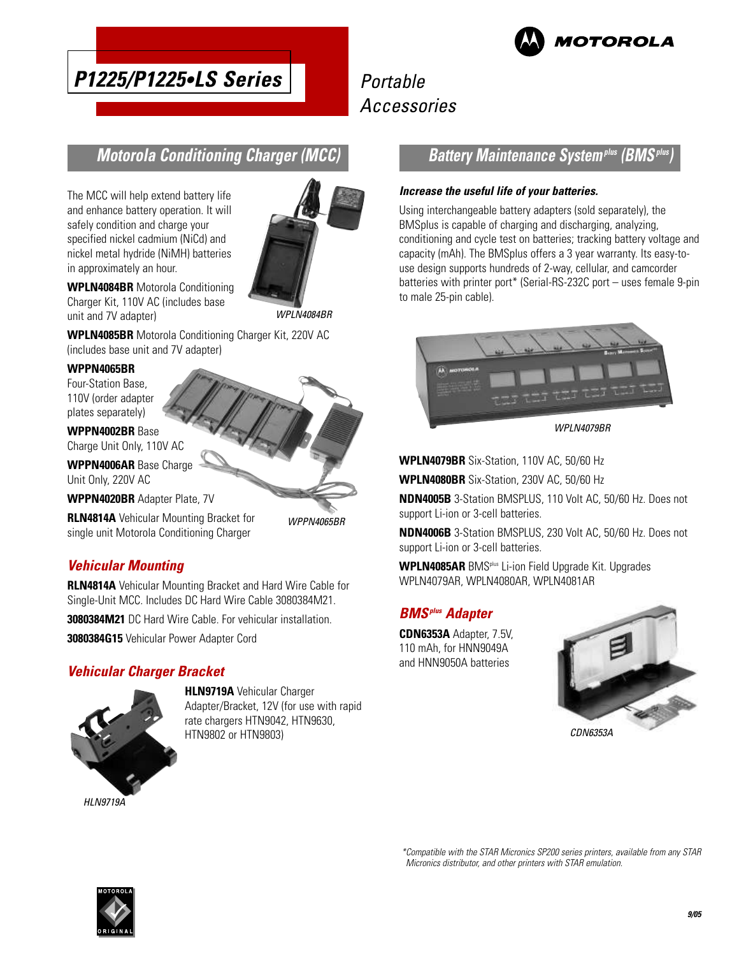

#### Portable Accessories **P1225/P1225•LS Series**

## **Motorola Conditioning Charger (MCC)**

The MCC will help extend battery life and enhance battery operation. It will safely condition and charge your specified nickel cadmium (NiCd) and nickel metal hydride (NiMH) batteries in approximately an hour.



**WPLN4084BR** Motorola Conditioning Charger Kit, 110V AC (includes base unit and 7V adapter)

**WPLN4085BR** Motorola Conditioning Charger Kit, 220V AC (includes base unit and 7V adapter)

#### **WPPN4065BR**

Four-Station Base, 110V (order adapter plates separately)

**WPPN4002BR** Base Charge Unit Only, 110V AC

**WPPN4006AR** Base Charge

Unit Only, 220V AC

**WPPN4020BR** Adapter Plate, 7V

**RLN4814A** Vehicular Mounting Bracket for single unit Motorola Conditioning Charger

WPPN4065BR

### **Vehicular Mounting**

**RLN4814A** Vehicular Mounting Bracket and Hard Wire Cable for Single-Unit MCC. Includes DC Hard Wire Cable 3080384M21.

**3080384M21** DC Hard Wire Cable. For vehicular installation.

**3080384G15** Vehicular Power Adapter Cord

### **Vehicular Charger Bracket**



**HLN9719A** Vehicular Charger Adapter/Bracket, 12V (for use with rapid rate chargers HTN9042, HTN9630, HTN9802 or HTN9803)

### **Battery Maintenance Systemplus (BMSplus)**

#### **Increase the useful life of your batteries.**

Using interchangeable battery adapters (sold separately), the BMSplus is capable of charging and discharging, analyzing, conditioning and cycle test on batteries; tracking battery voltage and capacity (mAh). The BMSplus offers a 3 year warranty. Its easy-touse design supports hundreds of 2-way, cellular, and camcorder batteries with printer port\* (Serial-RS-232C port – uses female 9-pin to male 25-pin cable).



WPI N4079BR

**WPLN4079BR** Six-Station, 110V AC, 50/60 Hz

**WPLN4080BR** Six-Station, 230V AC, 50/60 Hz

**NDN4005B** 3-Station BMSPLUS, 110 Volt AC, 50/60 Hz. Does not support Li-ion or 3-cell batteries.

**NDN4006B** 3-Station BMSPLUS, 230 Volt AC, 50/60 Hz. Does not support Li-ion or 3-cell batteries.

**WPLN4085AR** BMSplus Li-ion Field Upgrade Kit. Upgrades WPLN4079AR, WPLN4080AR, WPLN4081AR

### **BMSplus Adapter**

**CDN6353A** Adapter, 7.5V, 110 mAh, for HNN9049A and HNN9050A batteries



\*Compatible with the STAR Micronics SP200 series printers, available from any STAR Micronics distributor, and other printers with STAR emulation.

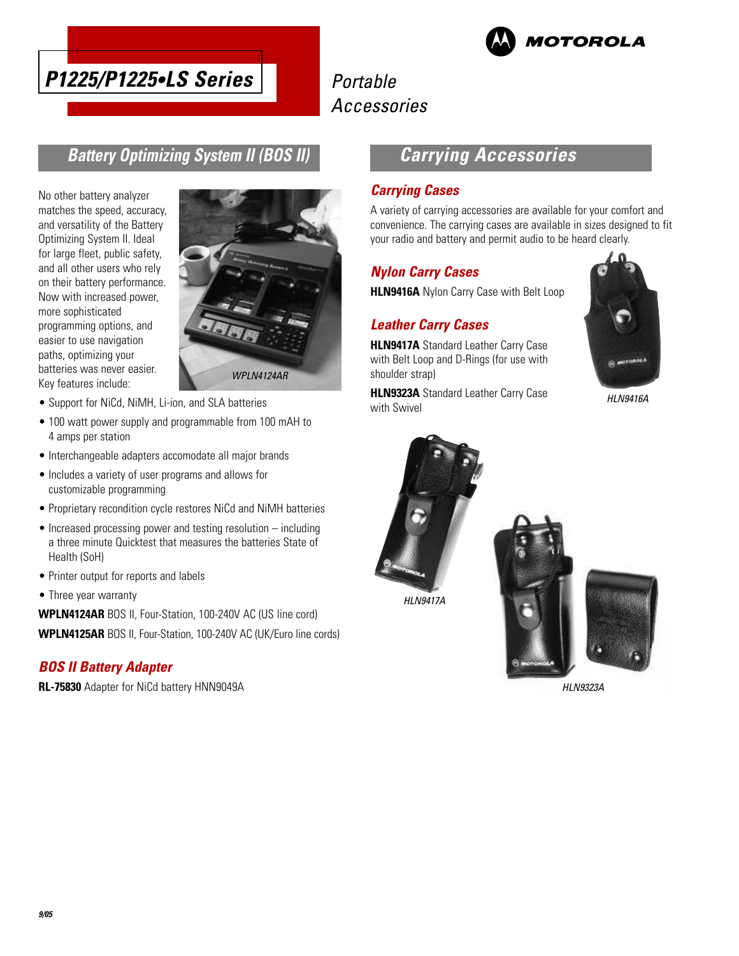



## **Battery Optimizing System II (BOS II)**

No other battery analyzer matches the speed, accuracy, and versatility of the Battery Optimizing System II. Ideal for large fleet, public safety, and all other users who rely on their battery performance. Now with increased power, more sophisticated programming options, and easier to use navigation paths, optimizing your batteries was never easier. Key features include:



- Support for NiCd, NiMH, Li-ion, and SLA batteries
- 100 watt power supply and programmable from 100 mAH to 4 amps per station
- Interchangeable adapters accomodate all major brands
- Includes a variety of user programs and allows for customizable programming
- Proprietary recondition cycle restores NiCd and NiMH batteries
- Increased processing power and testing resolution including a three minute Quicktest that measures the batteries State of Health (SoH)
- Printer output for reports and labels
- Three year warranty

**WPLN4124AR** BOS II, Four-Station, 100-240V AC (US line cord) **WPLN4125AR** BOS II, Four-Station, 100-240V AC (UK/Euro line cords)

### **BOS II Battery Adapter**

**RL-75830** Adapter for NiCd battery HNN9049A

## **Carrying Accessories**

### **Carrying Cases**

A variety of carrying accessories are available for your comfort and convenience. The carrying cases are available in sizes designed to fit your radio and battery and permit audio to be heard clearly.

### **Nylon Carry Cases**

**HLN9416A** Nylon Carry Case with Belt Loop

### **Leather Carry Cases**

**HLN9417A** Standard Leather Carry Case with Belt Loop and D-Rings (for use with shoulder strap)

**HLN9323A** Standard Leather Carry Case with Swivel



HLN9416A



HLN9323A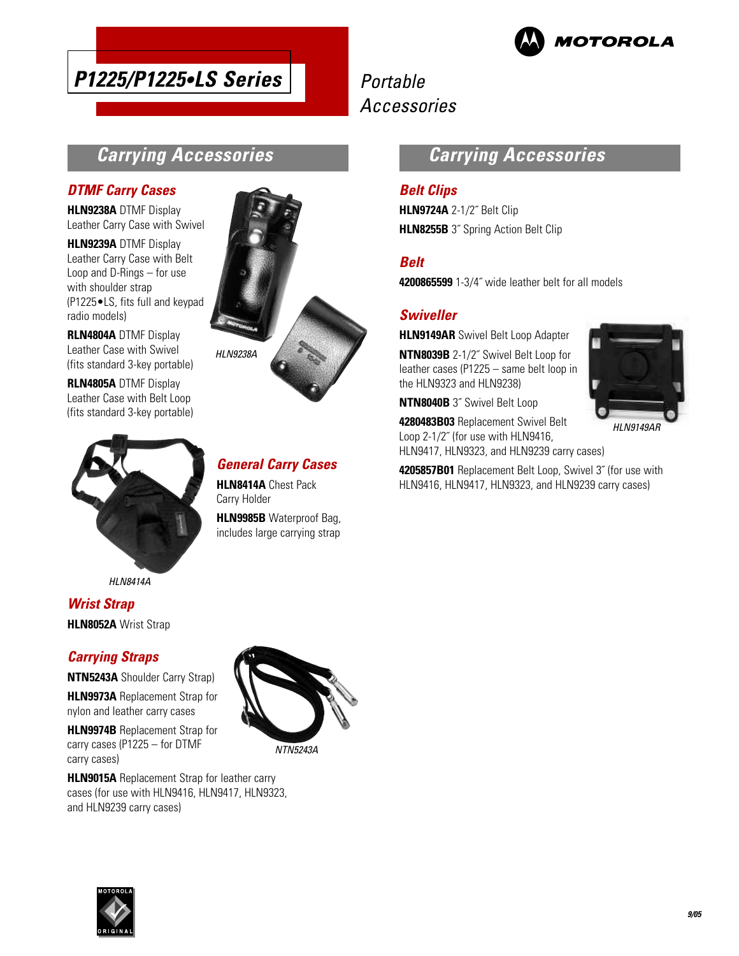

# **P1225/P1225•LS Series**

## Portable Accessories

## **Carrying Accessories**

### **DTMF Carry Cases**

**HLN9238A** DTMF Display Leather Carry Case with Swivel

**HLN9239A** DTMF Display Leather Carry Case with Belt Loop and D-Rings – for use with shoulder strap (P1225•LS, fits full and keypad radio models)

**RLN4804A** DTMF Display Leather Case with Swivel (fits standard 3-key portable)

**RLN4805A** DTMF Display Leather Case with Belt Loop (fits standard 3-key portable)



HLN8414A

### **Wrist Strap HLN8052A** Wrist Strap

### **Carrying Straps**

**NTN5243A** Shoulder Carry Strap)

**HLN9973A** Replacement Strap for nylon and leather carry cases

**HLN9974B** Replacement Strap for carry cases (P1225 – for DTMF carry cases)

**HLN9015A** Replacement Strap for leather carry cases (for use with HLN9416, HLN9417, HLN9323, and HLN9239 carry cases)



## **General Carry Cases**

**HLN8414A** Chest Pack Carry Holder

**HLN9985B** Waterproof Bag, includes large carrying strap

## **Carrying Accessories**

### **Belt Clips**

**HLN9724A** 2-1/2˝ Belt Clip **HLN8255B** 3<sup>"</sup> Spring Action Belt Clip

### **Belt**

**4200865599** 1-3/4˝ wide leather belt for all models

### **Swiveller**

**HLN9149AR** Swivel Belt Loop Adapter

**NTN8039B** 2-1/2˝ Swivel Belt Loop for leather cases (P1225 – same belt loop in the HLN9323 and HLN9238)

**NTN8040B** 3˝ Swivel Belt Loop

**4280483B03** Replacement Swivel Belt Loop 2-1/2˝ (for use with HLN9416, HLN9417, HLN9323, and HLN9239 carry cases)



HLN9149AR

**4205857B01** Replacement Belt Loop, Swivel 3˝ (for use with HLN9416, HLN9417, HLN9323, and HLN9239 carry cases)



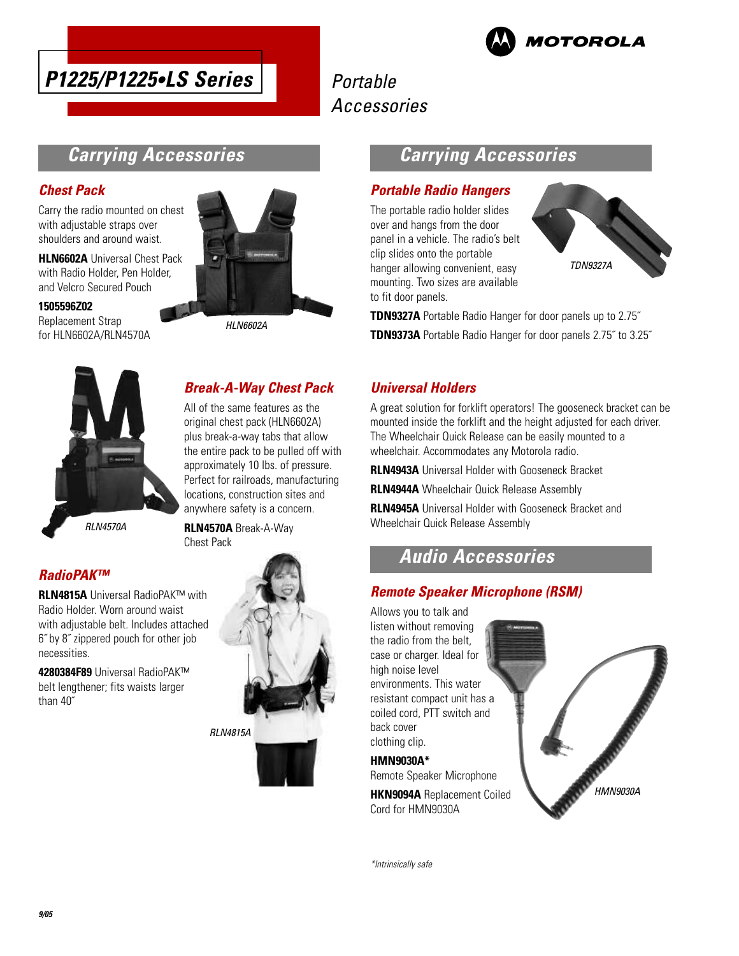



## **Carrying Accessories**

### **Chest Pack**

Carry the radio mounted on chest with adjustable straps over shoulders and around waist.

**HLN6602A** Universal Chest Pack with Radio Holder, Pen Holder, and Velcro Secured Pouch

#### **1505596Z02**

Replacement Strap for HLN6602A/RLN4570A



HLN6602A

## **Break-A-Way Chest Pack**

All of the same features as the original chest pack (HLN6602A) plus break-a-way tabs that allow the entire pack to be pulled off with approximately 10 lbs. of pressure. Perfect for railroads, manufacturing locations, construction sites and anywhere safety is a concern.

RLN4570A

**RLN4570A** Break-A-Way Chest Pack

## **RadioPAK™**

**RLN4815A** Universal RadioPAK™ with Radio Holder. Worn around waist with adjustable belt. Includes attached 6˝ by 8˝ zippered pouch for other job necessities.

**4280384F89** Universal RadioPAK™ belt lengthener; fits waists larger than 40˝



## **Carrying Accessories**

### **Portable Radio Hangers**

The portable radio holder slides over and hangs from the door panel in a vehicle. The radio's belt clip slides onto the portable hanger allowing convenient, easy mounting. Two sizes are available to fit door panels.



**TDN9327A** Portable Radio Hanger for door panels up to 2.75˝ **TDN9373A** Portable Radio Hanger for door panels 2.75˝ to 3.25˝

### **Universal Holders**

A great solution for forklift operators! The gooseneck bracket can be mounted inside the forklift and the height adjusted for each driver. The Wheelchair Quick Release can be easily mounted to a wheelchair. Accommodates any Motorola radio.

**RLN4943A** Universal Holder with Gooseneck Bracket

**RLN4944A** Wheelchair Quick Release Assembly

**RLN4945A** Universal Holder with Gooseneck Bracket and Wheelchair Quick Release Assembly

## **Audio Accessories**

### **Remote Speaker Microphone (RSM)**

Allows you to talk and listen without removing the radio from the belt, case or charger. Ideal for high noise level environments. This water resistant compact unit has a coiled cord, PTT switch and back cover clothing clip.

**HMN9030A\*** Remote Speaker Microphone

**HKN9094A** Replacement Coiled Cord for HMN9030A



\*Intrinsically safe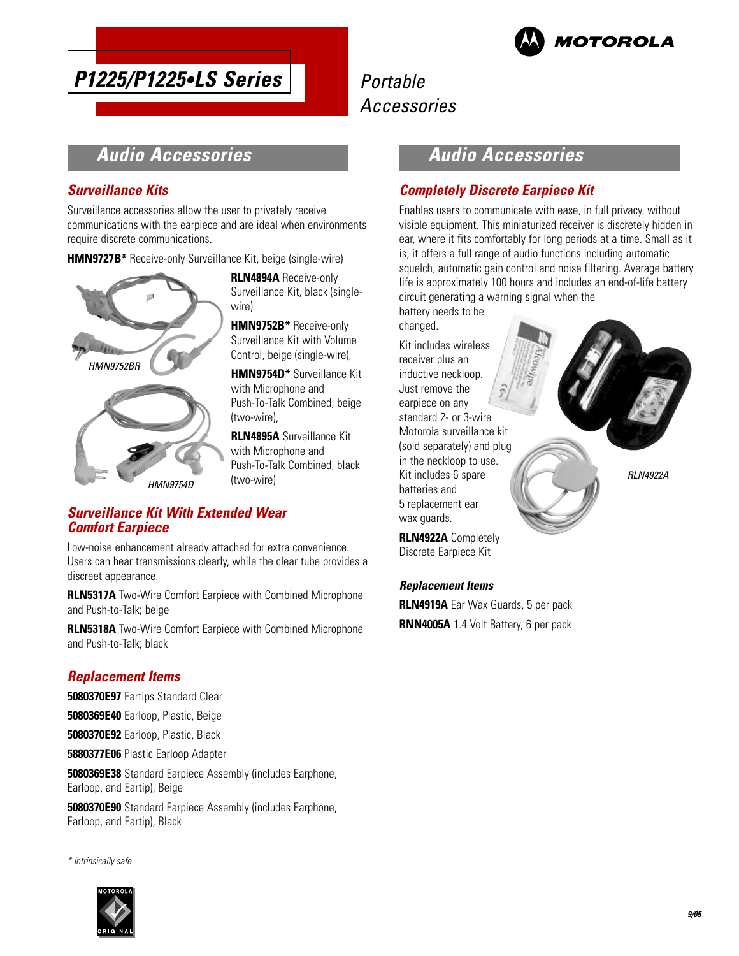

# **P1225/P1225•LS Series**

## Portable Accessories

## **Audio Accessories**

### **Surveillance Kits**

Surveillance accessories allow the user to privately receive communications with the earpiece and are ideal when environments require discrete communications.

**HMN9727B\*** Receive-only Surveillance Kit, beige (single-wire)



**RLN4894A** Receive-only Surveillance Kit, black (singlewire)

**HMN9752B\*** Receive-only Surveillance Kit with Volume Control, beige (single-wire),

**HMN9754D\*** Surveillance Kit with Microphone and Push-To-Talk Combined, beige (two-wire),

**RLN4895A** Surveillance Kit with Microphone and Push-To-Talk Combined, black (two-wire)

### **Surveillance Kit With Extended Wear Comfort Earpiece**

Low-noise enhancement already attached for extra convenience. Users can hear transmissions clearly, while the clear tube provides a discreet appearance.

**RLN5317A** Two-Wire Comfort Earpiece with Combined Microphone and Push-to-Talk; beige

**RLN5318A** Two-Wire Comfort Earpiece with Combined Microphone and Push-to-Talk; black

### **Replacement Items**

**5080370E97** Eartips Standard Clear

**5080369E40** Earloop, Plastic, Beige

**5080370E92** Earloop, Plastic, Black

**5880377E06** Plastic Earloop Adapter

**5080369E38** Standard Earpiece Assembly (includes Earphone, Earloop, and Eartip), Beige

**5080370E90** Standard Earpiece Assembly (includes Earphone, Earloop, and Eartip), Black

\* Intrinsically safe



## **Audio Accessories**

### **Completely Discrete Earpiece Kit**

Enables users to communicate with ease, in full privacy, without visible equipment. This miniaturized receiver is discretely hidden in ear, where it fits comfortably for long periods at a time. Small as it is, it offers a full range of audio functions including automatic squelch, automatic gain control and noise filtering. Average battery life is approximately 100 hours and includes an end-of-life battery circuit generating a warning signal when the

battery needs to be changed.

Kit includes wireless receiver plus an inductive neckloop. Just remove the earpiece on any standard 2- or 3-wire Motorola surveillance kit (sold separately) and plug in the neckloop to use. Kit includes 6 spare batteries and 5 replacement ear wax guards.



**RLN4922A** Completely Discrete Earpiece Kit

### **Replacement Items**

**RLN4919A** Ear Wax Guards, 5 per pack **RNN4005A** 1.4 Volt Battery, 6 per pack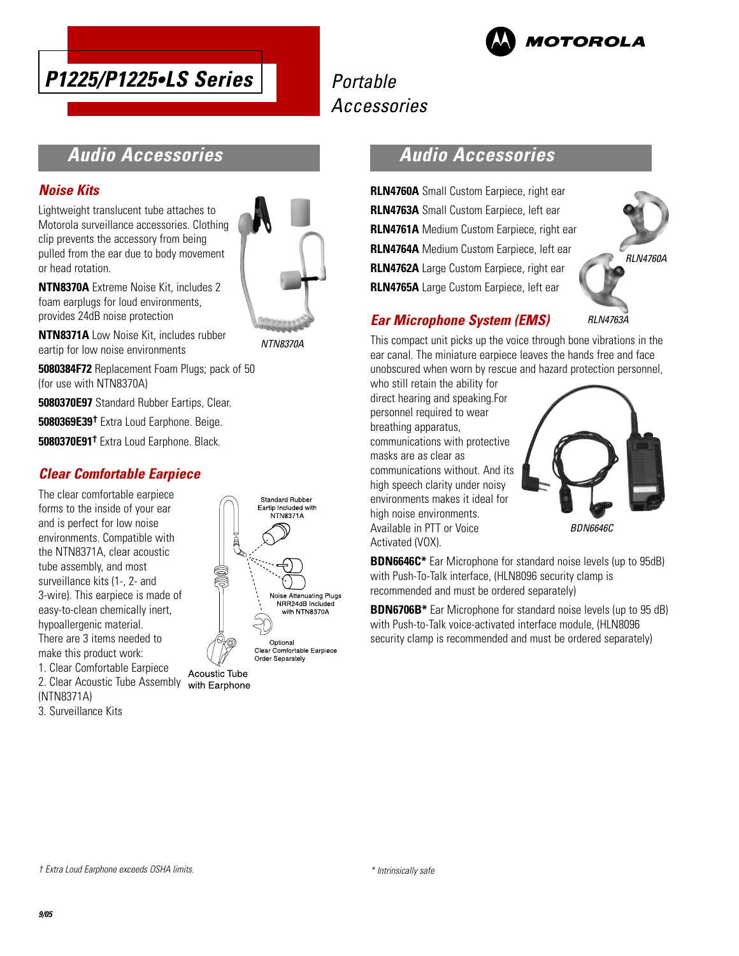



## **Audio Accessories**

### **Noise Kits**

Lightweight translucent tube attaches to Motorola surveillance accessories. Clothing clip prevents the accessory from being pulled from the ear due to body movement or head rotation.



Standard Rubber Eartip Included with NTN8371A

**NTN8370A** Extreme Noise Kit, includes 2 foam earplugs for loud environments, provides 24dB noise protection

**NTN8371A** Low Noise Kit, includes rubber eartip for low noise environments

**5080384F72** Replacement Foam Plugs; pack of 50 (for use with NTN8370A)

**5080370E97** Standard Rubber Eartips, Clear.

**5080369E39†** Extra Loud Earphone. Beige.

**5080370E91†** Extra Loud Earphone. Black.

### **Clear Comfortable Earpiece**

The clear comfortable earpiece forms to the inside of your ear and is perfect for low noise environments. Compatible with the NTN8371A, clear acoustic tube assembly, and most surveillance kits (1-, 2- and 3-wire). This earpiece is made of easy-to-clean chemically inert, hypoallergenic material. There are 3 items needed to make this product work: 1. Clear Comfortable Earpiece Acoustic Tube 2. Clear Acoustic Tube Assembly with Earphone

Noise Attenuating Plugs NRR24dB Included with NTN8370A Optional<br>Clear Comfortable Earpiece Order Separately

**Audio Accessories**

**RLN4760A** Small Custom Earpiece, right ear **RLN4763A** Small Custom Earpiece, left ear **RLN4761A** Medium Custom Earpiece, right ear **RLN4764A** Medium Custom Earpiece, left ear **RLN4762A** Large Custom Earpiece, right ear **RLN4765A** Large Custom Earpiece, left ear



### **Ear Microphone System (EMS)**

This compact unit picks up the voice through bone vibrations in the ear canal. The miniature earpiece leaves the hands free and face unobscured when worn by rescue and hazard protection personnel,

who still retain the ability for direct hearing and speaking.For personnel required to wear breathing apparatus, communications with protective masks are as clear as communications without. And its high speech clarity under noisy environments makes it ideal for high noise environments. Available in PTT or Voice Activated (VOX).



**BDN6646C\*** Ear Microphone for standard noise levels (up to 95dB) with Push-To-Talk interface, (HLN8096 security clamp is recommended and must be ordered separately)

**BDN6706B\*** Ear Microphone for standard noise levels (up to 95 dB) with Push-to-Talk voice-activated interface module, (HLN8096 security clamp is recommended and must be ordered separately)

(NTN8371A) 3. Surveillance Kits

† Extra Loud Earphone exceeds OSHA limits.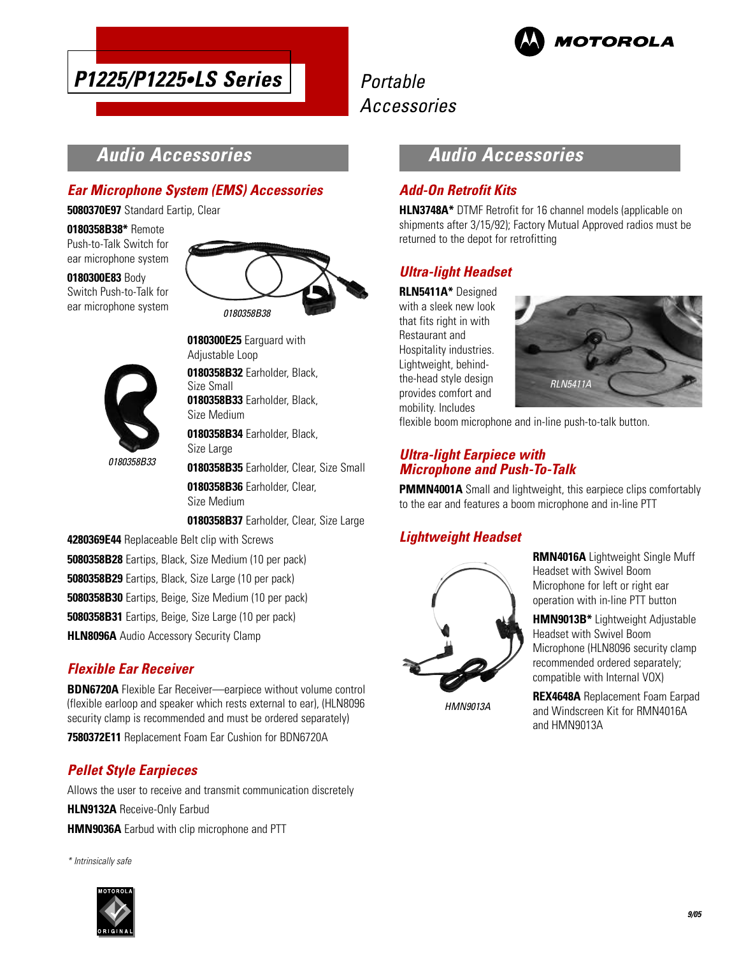



## **Audio Accessories**

### **Ear Microphone System (EMS) Accessories**

**5080370E97** Standard Eartip, Clear

**0180358B38\*** Remote Push-to-Talk Switch for ear microphone system

**0180300E83** Body Switch Push-to-Talk for ear microphone system





0180358B33

**0180300E25** Earguard with Adjustable Loop **0180358B32** Earholder, Black,

Size Small **0180358B33** Earholder, Black, Size Medium

**0180358B34** Earholder, Black, Size Large

**0180358B35** Earholder, Clear, Size Small

**0180358B36** Earholder, Clear, Size Medium

**0180358B37** Earholder, Clear, Size Large

- **4280369E44** Replaceable Belt clip with Screws
- **5080358B28** Eartips, Black, Size Medium (10 per pack)
- **5080358B29** Eartips, Black, Size Large (10 per pack)
- **5080358B30** Eartips, Beige, Size Medium (10 per pack)
- **5080358B31** Eartips, Beige, Size Large (10 per pack)
- **HLN8096A** Audio Accessory Security Clamp

### **Flexible Ear Receiver**

**BDN6720A** Flexible Ear Receiver—earpiece without volume control (flexible earloop and speaker which rests external to ear), (HLN8096 security clamp is recommended and must be ordered separately)

**7580372E11** Replacement Foam Ear Cushion for BDN6720A

### **Pellet Style Earpieces**

Allows the user to receive and transmit communication discretely **HLN9132A** Receive-Only Earbud **HMN9036A** Earbud with clip microphone and PTT

\* Intrinsically safe



### **Audio Accessories**

### **Add-On Retrofit Kits**

**HLN3748A\*** DTMF Retrofit for 16 channel models (applicable on shipments after 3/15/92); Factory Mutual Approved radios must be returned to the depot for retrofitting

### **Ultra-light Headset**

**RLN5411A\*** Designed with a sleek new look that fits right in with Restaurant and Hospitality industries. Lightweight, behindthe-head style design provides comfort and mobility. Includes



flexible boom microphone and in-line push-to-talk button.

### **Ultra-light Earpiece with Microphone and Push-To-Talk**

**PMMN4001A** Small and lightweight, this earpiece clips comfortably to the ear and features a boom microphone and in-line PTT

### **Lightweight Headset**



**RMN4016A** Lightweight Single Muff Headset with Swivel Boom Microphone for left or right ear operation with in-line PTT button

**HMN9013B\*** Lightweight Adjustable Headset with Swivel Boom Microphone (HLN8096 security clamp recommended ordered separately; compatible with Internal VOX)

HMN9013A

**REX4648A** Replacement Foam Earpad and Windscreen Kit for RMN4016A and HMN9013A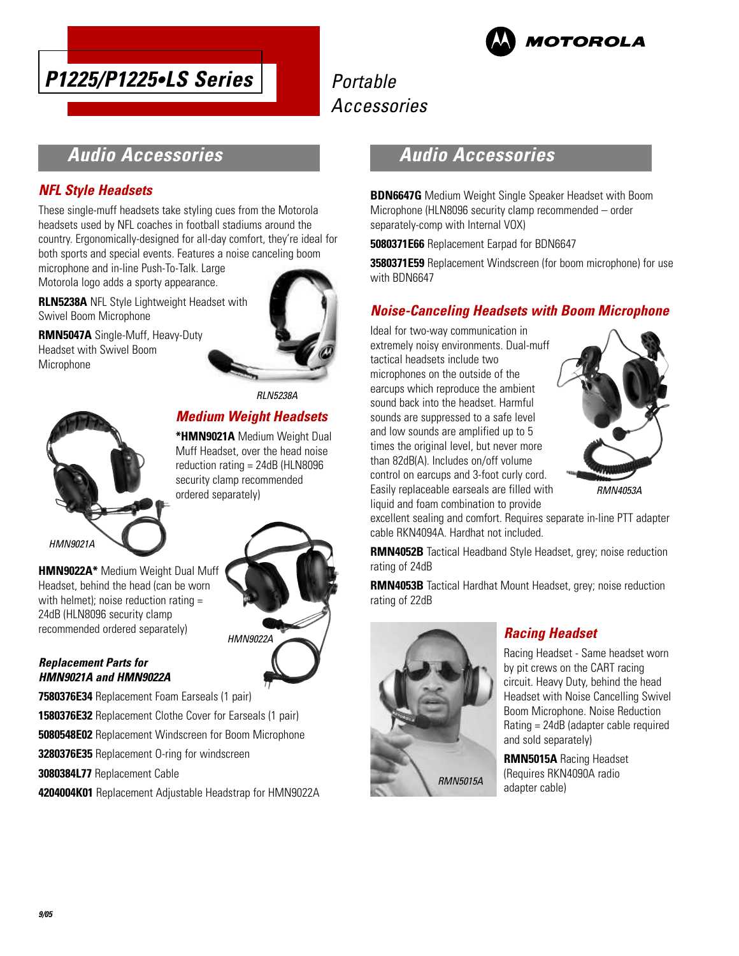





## **Audio Accessories**

### **NFL Style Headsets**

These single-muff headsets take styling cues from the Motorola headsets used by NFL coaches in football stadiums around the country. Ergonomically-designed for all-day comfort, they're ideal for both sports and special events. Features a noise canceling boom

microphone and in-line Push-To-Talk. Large Motorola logo adds a sporty appearance.

**RLN5238A** NFL Style Lightweight Headset with Swivel Boom Microphone

**RMN5047A** Single-Muff, Heavy-Duty Headset with Swivel Boom Microphone



RLN5238A

## **Medium Weight Headsets**

**\*HMN9021A** Medium Weight Dual Muff Headset, over the head noise reduction rating = 24dB (HLN8096 security clamp recommended ordered separately)



Headset, behind the head (can be worn with helmet); noise reduction rating = 24dB (HLN8096 security clamp recommended ordered separately)

**HMN9022A\*** Medium Weight Dual Muff HMN9022A

#### **Replacement Parts for HMN9021A and HMN9022A**

**7580376E34** Replacement Foam Earseals (1 pair)

- **1580376E32** Replacement Clothe Cover for Earseals (1 pair)
- **5080548E02** Replacement Windscreen for Boom Microphone
- **3280376E35** Replacement O-ring for windscreen

**3080384L77** Replacement Cable

**4204004K01** Replacement Adjustable Headstrap for HMN9022A

### **Audio Accessories**

**BDN6647G** Medium Weight Single Speaker Headset with Boom Microphone (HLN8096 security clamp recommended – order separately-comp with Internal VOX)

**5080371E66** Replacement Earpad for BDN6647

**3580371E59** Replacement Windscreen (for boom microphone) for use with BDN6647

### **Noise-Canceling Headsets with Boom Microphone**

Ideal for two-way communication in extremely noisy environments. Dual-muff tactical headsets include two microphones on the outside of the earcups which reproduce the ambient sound back into the headset. Harmful sounds are suppressed to a safe level and low sounds are amplified up to 5 times the original level, but never more than 82dB(A). Includes on/off volume control on earcups and 3-foot curly cord. Easily replaceable earseals are filled with liquid and foam combination to provide



excellent sealing and comfort. Requires separate in-line PTT adapter cable RKN4094A. Hardhat not included.

**RMN4052B** Tactical Headband Style Headset, grey; noise reduction rating of 24dB

**RMN4053B** Tactical Hardhat Mount Headset, grey; noise reduction rating of 22dB



### **Racing Headset**

Racing Headset - Same headset worn by pit crews on the CART racing circuit. Heavy Duty, behind the head Headset with Noise Cancelling Swivel Boom Microphone. Noise Reduction Rating = 24dB (adapter cable required and sold separately)

**RMN5015A** Racing Headset (Requires RKN4090A radio adapter cable)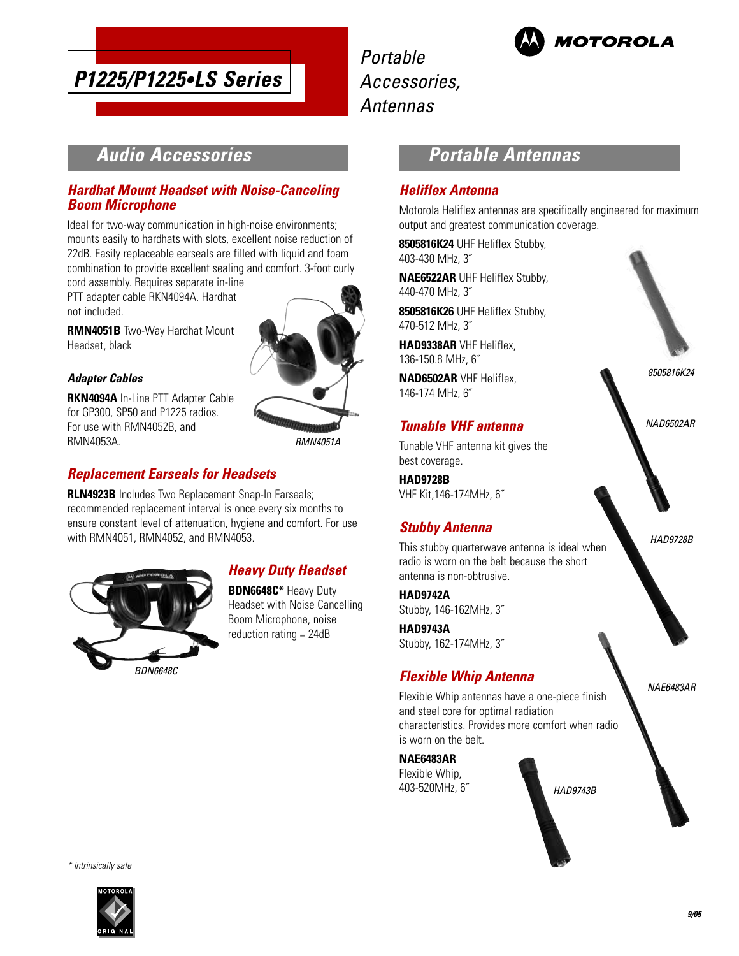

Portable Accessories, Antennas



## **Audio Accessories**

### **Hardhat Mount Headset with Noise-Canceling Boom Microphone**

Ideal for two-way communication in high-noise environments; mounts easily to hardhats with slots, excellent noise reduction of 22dB. Easily replaceable earseals are filled with liquid and foam combination to provide excellent sealing and comfort. 3-foot curly

cord assembly. Requires separate in-line PTT adapter cable RKN4094A. Hardhat not included.

**RMN4051B** Two-Way Hardhat Mount Headset, black

#### **Adapter Cables**

**RKN4094A** In-Line PTT Adapter Cable for GP300, SP50 and P1225 radios. For use with RMN4052B, and RMN4053A.

### **Replacement Earseals for Headsets**

**RLN4923B** Includes Two Replacement Snap-In Earseals; recommended replacement interval is once every six months to ensure constant level of attenuation, hygiene and comfort. For use with RMN4051, RMN4052, and RMN4053.



### **Heavy Duty Headset**

**BDN6648C\*** Heavy Duty Headset with Noise Cancelling Boom Microphone, noise reduction rating = 24dB

RMN4051A

## **Portable Antennas**

### **Heliflex Antenna**

Motorola Heliflex antennas are specifically engineered for maximum output and greatest communication coverage.

**8505816K24** UHF Heliflex Stubby, 403-430 MHz, 3˝

**NAE6522AR** UHF Heliflex Stubby, 440-470 MHz, 3˝

**8505816K26** UHF Heliflex Stubby, 470-512 MHz, 3˝

**HAD9338AR** VHF Heliflex, 136-150.8 MHz, 6˝

**NAD6502AR** VHF Heliflex, 146-174 MHz, 6˝

### **Tunable VHF antenna**

Tunable VHF antenna kit gives the best coverage.

**HAD9728B** VHF Kit,146-174MHz, 6˝

### **Stubby Antenna**

This stubby quarterwave antenna is ideal when radio is worn on the belt because the short antenna is non-obtrusive.

**HAD9742A** Stubby, 146-162MHz, 3˝

**HAD9743A** Stubby, 162-174MHz, 3˝

### **Flexible Whip Antenna**

Flexible Whip antennas have a one-piece finish and steel core for optimal radiation characteristics. Provides more comfort when radio is worn on the belt.

**NAE6483AR** Flexible Whip, 403-520MHz, 6˝

HAD9743B



HAD9728B

NAE6483AR

\* Intrinsically safe

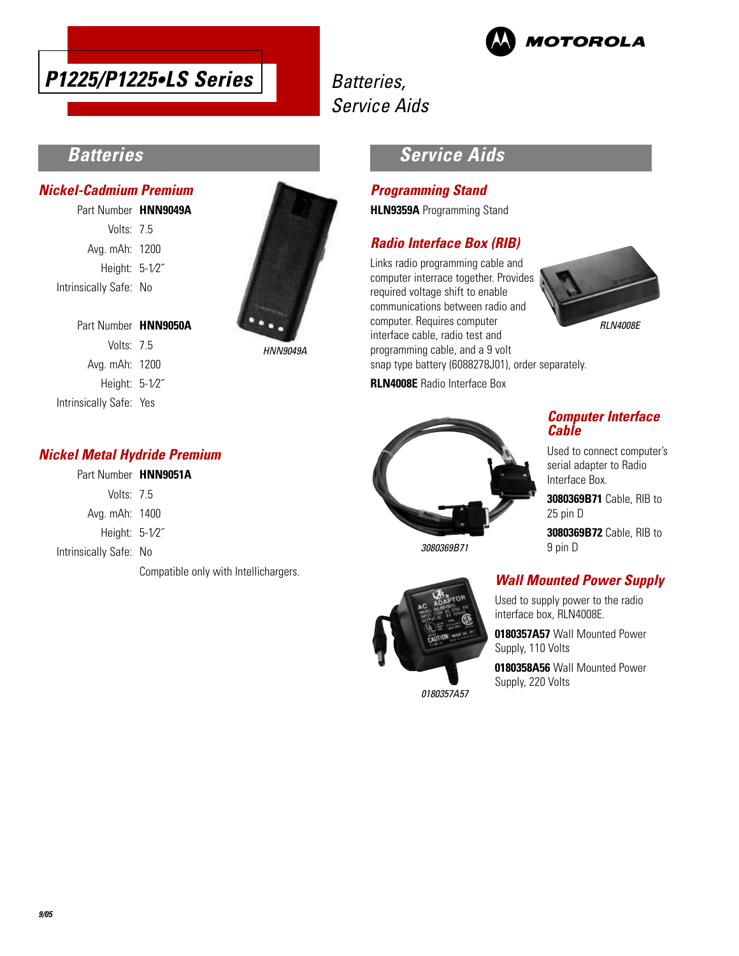

## Batteries, Service Aids



## **Batteries**

#### **Nickel-Cadmium Premium**

Part Number **HNN9049A** Volts: 7.5 Avg. mAh: 1200 Height: 5-1⁄2˝ Intrinsically Safe: No

Part Number **HNN9050A** Volts: 7.5 Avg. mAh: 1200 Height: 5-1⁄2˝ Intrinsically Safe: Yes



HNN9049A

### **Service Aids**

#### **Programming Stand**

**HLN9359A** Programming Stand

### **Radio Interface Box (RIB)**

Links radio programming cable and computer interrace together. Provides required voltage shift to enable communications between radio and computer. Requires computer interface cable, radio test and programming cable, and a 9 volt



snap type battery (6088278J01), order separately.

**RLN4008E** Radio Interface Box



### **Computer Interface Cable**

Used to connect computer's serial adapter to Radio Interface Box.

**3080369B71** Cable, RIB to 25 pin D

**3080369B72** Cable, RIB to 9 pin D



Used to supply power to the radio interface box, RLN4008E.

**0180357A57** Wall Mounted Power Supply, 110 Volts

**0180358A56** Wall Mounted Power Supply, 220 Volts

### **Nickel Metal Hydride Premium**

### Part Number **HNN9051A**

| Volts: 7.5      |  |
|-----------------|--|
| Avg. mAh: 1400  |  |
| Height: $5-1/2$ |  |

Intrinsically Safe: No

Compatible only with Intellichargers.



0180357A57